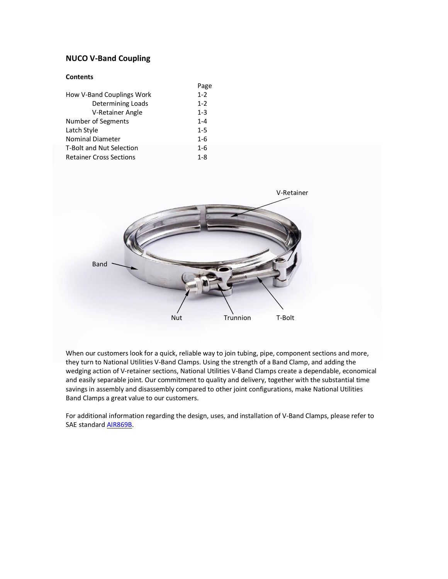## **NUCO V-Band Coupling**

### **Contents**

| Page    |
|---------|
| $1 - 2$ |
| $1 - 2$ |
| $1 - 3$ |
| $1 - 4$ |
| $1 - 5$ |
| $1 - 6$ |
| $1 - 6$ |
| $1 - 8$ |
|         |



When our customers look for a quick, reliable way to join tubing, pipe, component sections and more, they turn to National Utilities V-Band Clamps. Using the strength of a Band Clamp, and adding the wedging action of V-retainer sections, National Utilities V-Band Clamps create a dependable, economical and easily separable joint. Our commitment to quality and delivery, together with the substantial time savings in assembly and disassembly compared to other joint configurations, make National Utilities Band Clamps a great value to our customers.

For additional information regarding the design, uses, and installation of V-Band Clamps, please refer to SAE standard [AIR869B.](http://www.sae.org/technical/standards/AIR869B)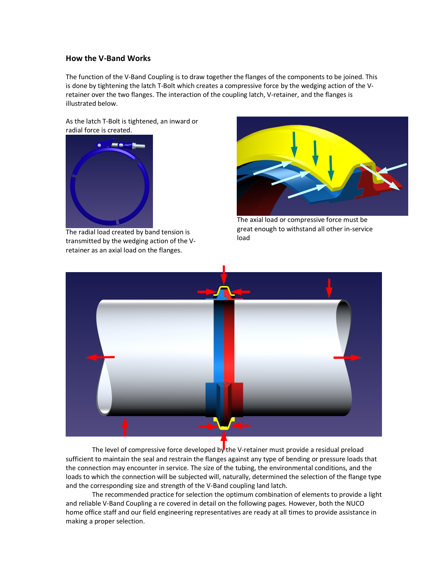## **How the V-Band Works**

The function of the V-Band Coupling is to draw together the flanges of the components to be joined. This is done by tightening the latch T-Bolt which creates a compressive force by the wedging action of the Vretainer over the two flanges. The interaction of the coupling latch, V-retainer, and the flanges is illustrated below.

As the latch T-Bolt is tightened, an inward or radial force is created.



The radial load created by band tension is transmitted by the wedging action of the Vretainer as an axial load on the flanges.



The axial load or compressive force must be great enough to withstand all other in-service load



The level of compressive force developed by the V-retainer must provide a residual preload sufficient to maintain the seal and restrain the flanges against any type of bending or pressure loads that the connection may encounter in service. The size of the tubing, the environmental conditions, and the loads to which the connection will be subjected will, naturally, determined the selection of the flange type and the corresponding size and strength of the V-Band coupling land latch.

The recommended practice for selection the optimum combination of elements to provide a light and reliable V-Band Coupling a re covered in detail on the following pages. However, both the NUCO home office staff and our field engineering representatives are ready at all times to provide assistance in making a proper selection.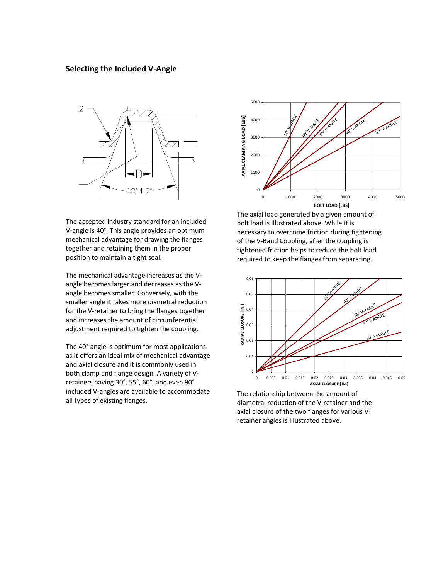## **Selecting the Included V-Angle**



The accepted industry standard for an included V-angle is 40°. This angle provides an optimum mechanical advantage for drawing the flanges together and retaining them in the proper position to maintain a tight seal.

The mechanical advantage increases as the Vangle becomes larger and decreases as the Vangle becomes smaller. Conversely, with the smaller angle it takes more diametral reduction for the V-retainer to bring the flanges together and increases the amount of circumferential adjustment required to tighten the coupling.

The 40° angle is optimum for most applications as it offers an ideal mix of mechanical advantage and axial closure and it is commonly used in both clamp and flange design. A variety of Vretainers having 30°, 55°, 60°, and even 90° included V-angles are available to accommodate all types of existing flanges.



The axial load generated by a given amount of bolt load is illustrated above. While it is necessary to overcome friction during tightening of the V-Band Coupling, after the coupling is tightened friction helps to reduce the bolt load required to keep the flanges from separating.



The relationship between the amount of diametral reduction of the V-retainer and the axial closure of the two flanges for various Vretainer angles is illustrated above.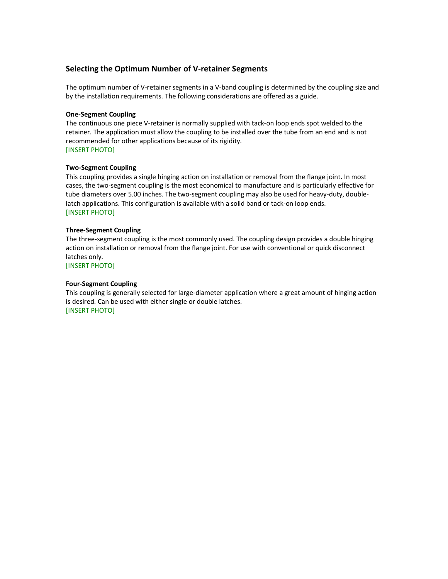## **Selecting the Optimum Number of V-retainer Segments**

The optimum number of V-retainer segments in a V-band coupling is determined by the coupling size and by the installation requirements. The following considerations are offered as a guide.

#### **One-Segment Coupling**

The continuous one piece V-retainer is normally supplied with tack-on loop ends spot welded to the retainer. The application must allow the coupling to be installed over the tube from an end and is not recommended for other applications because of its rigidity. [INSERT PHOTO]

#### **Two-Segment Coupling**

This coupling provides a single hinging action on installation or removal from the flange joint. In most cases, the two-segment coupling is the most economical to manufacture and is particularly effective for tube diameters over 5.00 inches. The two-segment coupling may also be used for heavy-duty, doublelatch applications. This configuration is available with a solid band or tack-on loop ends. [INSERT PHOTO]

#### **Three-Segment Coupling**

The three-segment coupling is the most commonly used. The coupling design provides a double hinging action on installation or removal from the flange joint. For use with conventional or quick disconnect latches only.

[INSERT PHOTO]

#### **Four-Segment Coupling**

This coupling is generally selected for large-diameter application where a great amount of hinging action is desired. Can be used with either single or double latches. [INSERT PHOTO]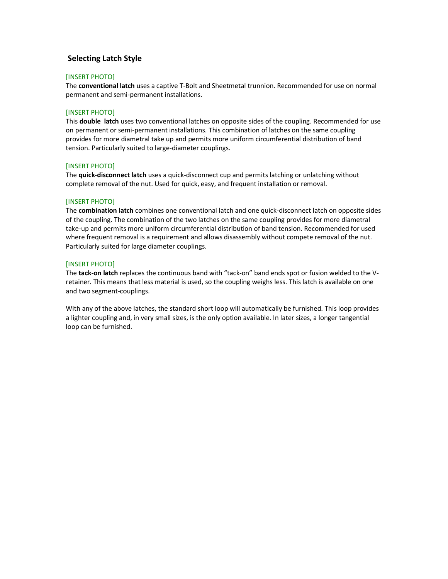## **Selecting Latch Style**

#### [INSERT PHOTO]

The **conventional latch** uses a captive T-Bolt and Sheetmetal trunnion. Recommended for use on normal permanent and semi-permanent installations.

#### [INSERT PHOTO]

This **double latch** uses two conventional latches on opposite sides of the coupling. Recommended for use on permanent or semi-permanent installations. This combination of latches on the same coupling provides for more diametral take up and permits more uniform circumferential distribution of band tension. Particularly suited to large-diameter couplings.

#### [INSERT PHOTO]

The **quick-disconnect latch** uses a quick-disconnect cup and permits latching or unlatching without complete removal of the nut. Used for quick, easy, and frequent installation or removal.

#### [INSERT PHOTO]

The **combination latch** combines one conventional latch and one quick-disconnect latch on opposite sides of the coupling. The combination of the two latches on the same coupling provides for more diametral take-up and permits more uniform circumferential distribution of band tension. Recommended for used where frequent removal is a requirement and allows disassembly without compete removal of the nut. Particularly suited for large diameter couplings.

#### [INSERT PHOTO]

The **tack-on latch** replaces the continuous band with "tack-on" band ends spot or fusion welded to the Vretainer. This means that less material is used, so the coupling weighs less. This latch is available on one and two segment-couplings.

With any of the above latches, the standard short loop will automatically be furnished. This loop provides a lighter coupling and, in very small sizes, is the only option available. In later sizes, a longer tangential loop can be furnished.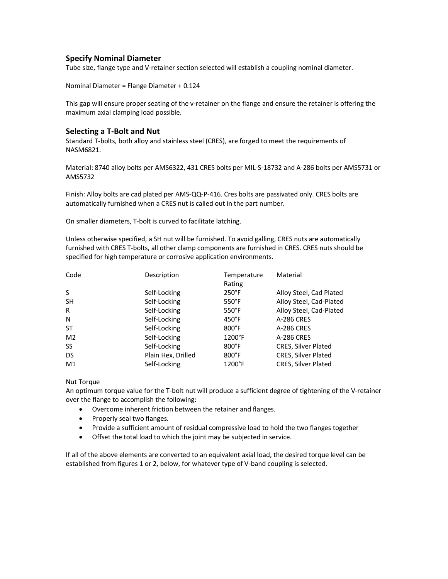## **Specify Nominal Diameter**

Tube size, flange type and V-retainer section selected will establish a coupling nominal diameter.

Nominal Diameter = Flange Diameter + 0.124

This gap will ensure proper seating of the v-retainer on the flange and ensure the retainer is offering the maximum axial clamping load possible.

## **Selecting a T-Bolt and Nut**

Standard T-bolts, both alloy and stainless steel (CRES), are forged to meet the requirements of NASM6821.

Material: 8740 alloy bolts per AMS6322, 431 CRES bolts per MIL-S-18732 and A-286 bolts per AMS5731 or AMS5732

Finish: Alloy bolts are cad plated per AMS-QQ-P-416. Cres bolts are passivated only. CRES bolts are automatically furnished when a CRES nut is called out in the part number.

On smaller diameters, T-bolt is curved to facilitate latching.

Unless otherwise specified, a SH nut will be furnished. To avoid galling, CRES nuts are automatically furnished with CRES T-bolts, all other clamp components are furnished in CRES. CRES nuts should be specified for high temperature or corrosive application environments.

| Code           | Description        | Temperature      | Material                |
|----------------|--------------------|------------------|-------------------------|
|                |                    | Rating           |                         |
| S              | Self-Locking       | $250^{\circ}$ F  | Alloy Steel, Cad Plated |
| <b>SH</b>      | Self-Locking       | $550^{\circ}$ F  | Alloy Steel, Cad-Plated |
| R              | Self-Locking       | $550^{\circ}$ F  | Alloy Steel, Cad-Plated |
| N              | Self-Locking       | $450^{\circ}$ F  | A-286 CRES              |
| <b>ST</b>      | Self-Locking       | $800^{\circ}$ F  | A-286 CRES              |
| M <sub>2</sub> | Self-Locking       | $1200^{\circ}$ F | A-286 CRES              |
| <b>SS</b>      | Self-Locking       | $800^{\circ}$ F  | CRES, Silver Plated     |
| DS             | Plain Hex, Drilled | $800^{\circ}$ F  | CRES, Silver Plated     |
| M1             | Self-Locking       | $1200^{\circ}$ F | CRES, Silver Plated     |

Nut Torque

An optimum torque value for the T-bolt nut will produce a sufficient degree of tightening of the V-retainer over the flange to accomplish the following:

- · Overcome inherent friction between the retainer and flanges.
- · Properly seal two flanges.
- · Provide a sufficient amount of residual compressive load to hold the two flanges together
- · Offset the total load to which the joint may be subjected in service.

If all of the above elements are converted to an equivalent axial load, the desired torque level can be established from figures 1 or 2, below, for whatever type of V-band coupling is selected.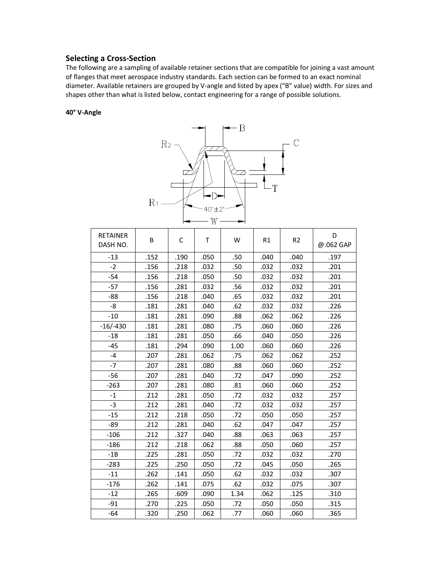## **Selecting a Cross-Section**

The following are a sampling of available retainer sections that are compatible for joining a vast amount of flanges that meet aerospace industry standards. Each section can be formed to an exact nominal diameter. Available retainers are grouped by V-angle and listed by apex ("B" value) width. For sizes and shapes other than what is listed below, contact engineering for a range of possible solutions.

#### **40° V-Angle**



| <b>RETAINER</b><br>DASH NO. | B    | С    | Τ    | W    | R1   | R <sub>2</sub> | D<br>@.062 GAP |
|-----------------------------|------|------|------|------|------|----------------|----------------|
| $-13$                       | .152 | .190 | .050 | .50  | .040 | .040           | .197           |
| $-2$                        | .156 | .218 | .032 | .50  | .032 | .032           | .201           |
| $-54$                       | .156 | .218 | .050 | .50  | .032 | .032           | .201           |
| $-57$                       | .156 | .281 | .032 | .56  | .032 | .032           | .201           |
| $-88$                       | .156 | .218 | .040 | .65  | .032 | .032           | .201           |
| -8                          | .181 | .281 | .040 | .62  | .032 | .032           | .226           |
| $-10$                       | .181 | .281 | .090 | .88  | .062 | .062           | .226           |
| $-16/-430$                  | .181 | .281 | .080 | .75  | .060 | .060           | .226           |
| $-18$                       | .181 | .281 | .050 | .66  | .040 | .050           | .226           |
| $-45$                       | .181 | .294 | .090 | 1.00 | .060 | .060           | .226           |
| $-4$                        | .207 | .281 | .062 | .75  | .062 | .062           | .252           |
| $-7$                        | .207 | .281 | .080 | .88  | .060 | .060           | .252           |
| -56                         | .207 | .281 | .040 | .72  | .047 | .090           | .252           |
| $-263$                      | .207 | .281 | .080 | .81  | .060 | .060           | .252           |
| $-1$                        | .212 | .281 | .050 | .72  | .032 | .032           | .257           |
| $-3$                        | .212 | .281 | .040 | .72  | .032 | .032           | .257           |
| $-15$                       | .212 | .218 | .050 | .72  | .050 | .050           | .257           |
| -89                         | .212 | .281 | .040 | .62  | .047 | .047           | .257           |
| $-106$                      | .212 | .327 | .040 | .88  | .063 | .063           | .257           |
| $-186$                      | .212 | .218 | .062 | .88  | .050 | .060           | .257           |
| $-1B$                       | .225 | .281 | .050 | .72  | .032 | .032           | .270           |
| $-283$                      | .225 | .250 | .050 | .72  | .045 | .050           | .265           |
| $-11$                       | .262 | .141 | .050 | .62  | .032 | .032           | .307           |
| $-176$                      | .262 | .141 | .075 | .62  | .032 | .075           | .307           |
| $-12$                       | .265 | .609 | .090 | 1.34 | .062 | .125           | .310           |
| $-91$                       | .270 | .225 | .050 | .72  | .050 | .050           | .315           |
| $-64$                       | .320 | .250 | .062 | .77  | .060 | .060           | .365           |